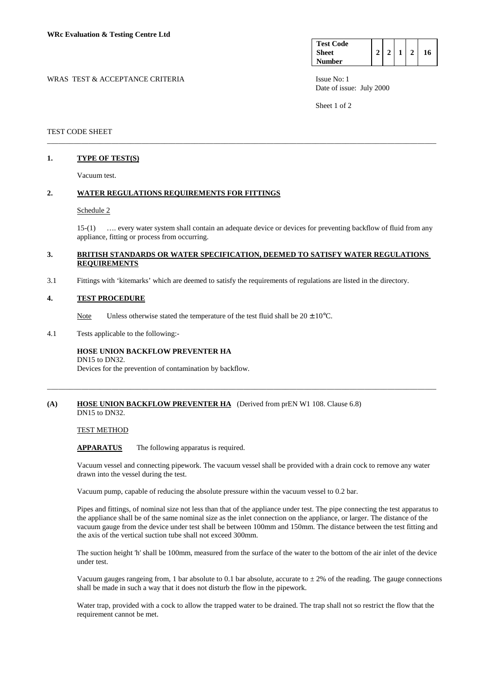| <b>Test Code</b> |  |  |    |
|------------------|--|--|----|
| <b>Sheet</b>     |  |  | 16 |
| <b>Number</b>    |  |  |    |

Date of issue: July 2000

Sheet 1 of 2

## TEST CODE SHEET

# **1. TYPE OF TEST(S)**

Vacuum test.

### **2. WATER REGULATIONS REQUIREMENTS FOR FITTINGS**

### Schedule 2

 15-(1) …. every water system shall contain an adequate device or devices for preventing backflow of fluid from any appliance, fitting or process from occurring.

## **3. BRITISH STANDARDS OR WATER SPECIFICATION, DEEMED TO SATISFY WATER REGULATIONS REQUIREMENTS**

\_\_\_\_\_\_\_\_\_\_\_\_\_\_\_\_\_\_\_\_\_\_\_\_\_\_\_\_\_\_\_\_\_\_\_\_\_\_\_\_\_\_\_\_\_\_\_\_\_\_\_\_\_\_\_\_\_\_\_\_\_\_\_\_\_\_\_\_\_\_\_\_\_\_\_\_\_\_\_\_\_\_\_\_\_\_\_\_\_\_\_\_\_\_\_\_\_\_\_\_\_\_\_

3.1 Fittings with 'kitemarks' which are deemed to satisfy the requirements of regulations are listed in the directory.

### **4. TEST PROCEDURE**

Note Unless otherwise stated the temperature of the test fluid shall be  $20 \pm 10^{\circ}$ C.

4.1 Tests applicable to the following:-

## **HOSE UNION BACKFLOW PREVENTER HA**  DN15 to DN32.

Devices for the prevention of contamination by backflow.

### **(A) HOSE UNION BACKFLOW PREVENTER HA** (Derived from prEN W1 108. Clause 6.8) DN15 to DN32.

### TEST METHOD

 **APPARATUS** The following apparatus is required.

 Vacuum vessel and connecting pipework. The vacuum vessel shall be provided with a drain cock to remove any water drawn into the vessel during the test.

\_\_\_\_\_\_\_\_\_\_\_\_\_\_\_\_\_\_\_\_\_\_\_\_\_\_\_\_\_\_\_\_\_\_\_\_\_\_\_\_\_\_\_\_\_\_\_\_\_\_\_\_\_\_\_\_\_\_\_\_\_\_\_\_\_\_\_\_\_\_\_\_\_\_\_\_\_\_\_\_\_\_\_\_\_\_\_\_\_\_\_\_\_\_\_\_\_\_\_\_\_\_\_

Vacuum pump, capable of reducing the absolute pressure within the vacuum vessel to 0.2 bar.

 Pipes and fittings, of nominal size not less than that of the appliance under test. The pipe connecting the test apparatus to the appliance shall be of the same nominal size as the inlet connection on the appliance, or larger. The distance of the vacuum gauge from the device under test shall be between 100mm and 150mm. The distance between the test fitting and the axis of the vertical suction tube shall not exceed 300mm.

 The suction height 'h' shall be 100mm, measured from the surface of the water to the bottom of the air inlet of the device under test.

Vacuum gauges rangeing from, 1 bar absolute to 0.1 bar absolute, accurate to  $\pm 2\%$  of the reading. The gauge connections shall be made in such a way that it does not disturb the flow in the pipework.

 Water trap, provided with a cock to allow the trapped water to be drained. The trap shall not so restrict the flow that the requirement cannot be met.

# WRAS TEST & ACCEPTANCE CRITERIA ISSUE No: 1